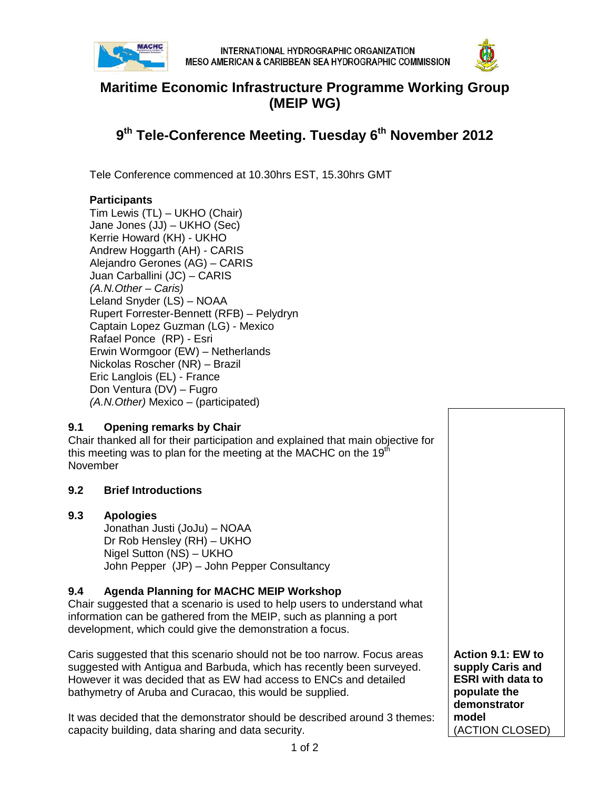



# **Maritime Economic Infrastructure Programme Working Group (MEIP WG)**

# **9th Tele-Conference Meeting. Tuesday 6th November 2012**

Tele Conference commenced at 10.30hrs EST, 15.30hrs GMT

#### **Participants**

Tim Lewis (TL) – UKHO (Chair) Jane Jones (JJ) – UKHO (Sec) Kerrie Howard (KH) - UKHO Andrew Hoggarth (AH) - CARIS Alejandro Gerones (AG) – CARIS Juan Carballini (JC) – CARIS *(A.N.Other – Caris)* Leland Snyder (LS) – NOAA Rupert Forrester-Bennett (RFB) – Pelydryn Captain Lopez Guzman (LG) - Mexico Rafael Ponce (RP) - Esri Erwin Wormgoor (EW) – Netherlands Nickolas Roscher (NR) – Brazil Eric Langlois (EL) - France Don Ventura (DV) – Fugro *(A.N.Other)* Mexico – (participated)

## **9.1 Opening remarks by Chair**

Chair thanked all for their participation and explained that main objective for this meeting was to plan for the meeting at the MACHC on the  $19<sup>th</sup>$ November

#### **9.2 Brief Introductions**

#### **9.3 Apologies**

Jonathan Justi (JoJu) – NOAA Dr Rob Hensley (RH) – UKHO Nigel Sutton (NS) – UKHO John Pepper (JP) – John Pepper Consultancy

#### **9.4 Agenda Planning for MACHC MEIP Workshop**

Chair suggested that a scenario is used to help users to understand what information can be gathered from the MEIP, such as planning a port development, which could give the demonstration a focus.

Caris suggested that this scenario should not be too narrow. Focus areas suggested with Antigua and Barbuda, which has recently been surveyed. However it was decided that as EW had access to ENCs and detailed bathymetry of Aruba and Curacao, this would be supplied.

It was decided that the demonstrator should be described around 3 themes: capacity building, data sharing and data security.

**Action 9.1: EW to supply Caris and ESRI with data to populate the demonstrator model** (ACTION CLOSED)